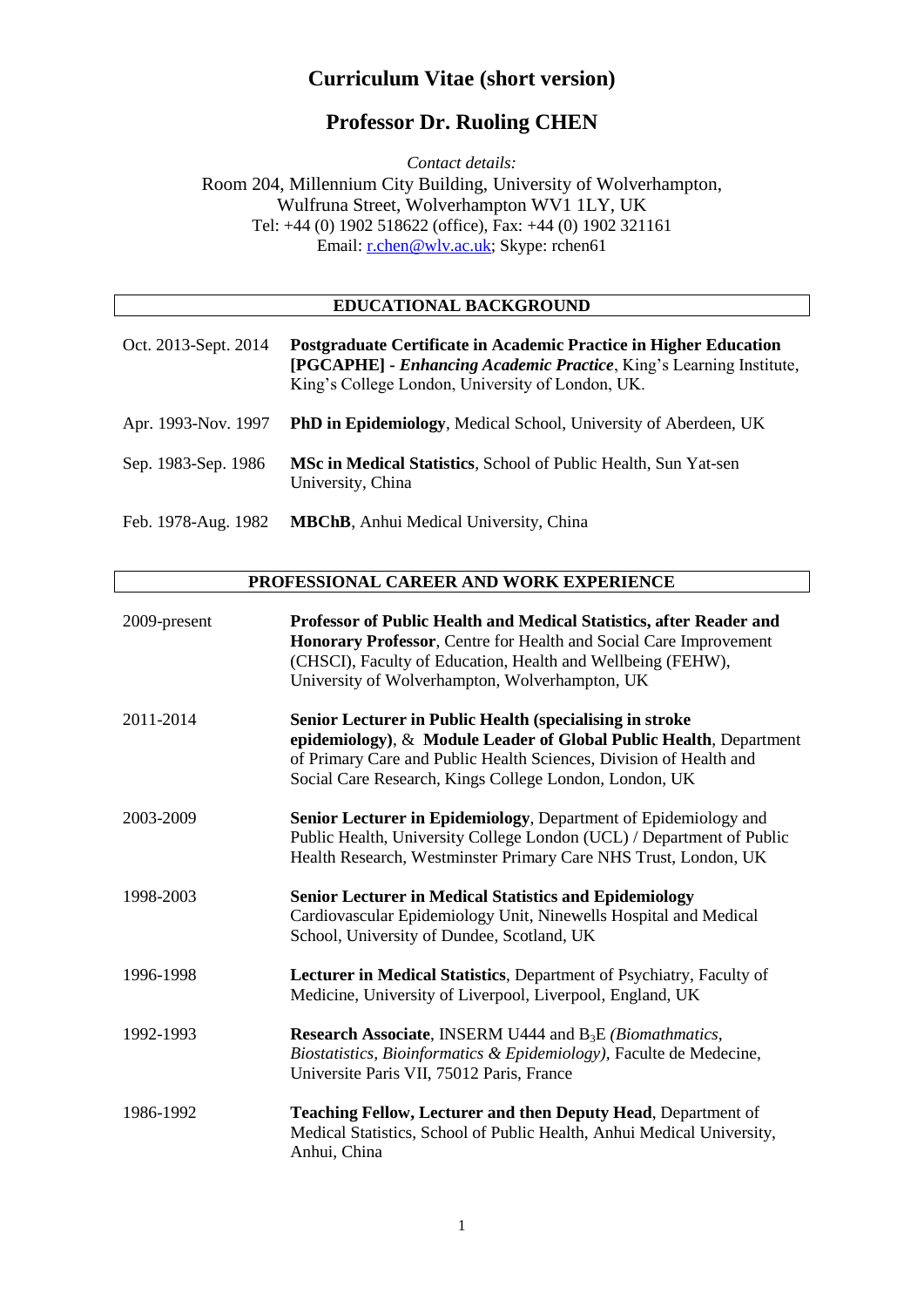# **Curriculum Vitae (short version)**

# **Professor Dr. Ruoling CHEN**

*Contact details:*  Room 204, Millennium City Building, University of Wolverhampton, Wulfruna Street, Wolverhampton WV1 1LY, UK Tel: +44 (0) 1902 518622 (office), Fax: +44 (0) 1902 321161 Email: [r.chen@wlv.ac.uk;](mailto:r.chen@wlv.ac.uk) Skype: rchen61

## **EDUCATIONAL BACKGROUND**

| Oct. 2013-Sept. 2014 | Postgraduate Certificate in Academic Practice in Higher Education<br><b>[PGCAPHE]</b> - <i>Enhancing Academic Practice</i> , <i>King's Learning Institute</i> ,<br>King's College London, University of London, UK. |
|----------------------|---------------------------------------------------------------------------------------------------------------------------------------------------------------------------------------------------------------------|
| Apr. 1993-Nov. 1997  | <b>PhD in Epidemiology, Medical School, University of Aberdeen, UK</b>                                                                                                                                              |
| Sep. 1983-Sep. 1986  | MSc in Medical Statistics, School of Public Health, Sun Yat-sen<br>University, China                                                                                                                                |
| Feb. 1978-Aug. 1982  | <b>MBChB</b> , Anhui Medical University, China                                                                                                                                                                      |

## **PROFESSIONAL CAREER AND WORK EXPERIENCE**

| 2009-present | Professor of Public Health and Medical Statistics, after Reader and<br>Honorary Professor, Centre for Health and Social Care Improvement<br>(CHSCI), Faculty of Education, Health and Wellbeing (FEHW),<br>University of Wolverhampton, Wolverhampton, UK      |
|--------------|----------------------------------------------------------------------------------------------------------------------------------------------------------------------------------------------------------------------------------------------------------------|
| 2011-2014    | Senior Lecturer in Public Health (specialising in stroke<br>epidemiology), & Module Leader of Global Public Health, Department<br>of Primary Care and Public Health Sciences, Division of Health and<br>Social Care Research, Kings College London, London, UK |
| 2003-2009    | Senior Lecturer in Epidemiology, Department of Epidemiology and<br>Public Health, University College London (UCL) / Department of Public<br>Health Research, Westminster Primary Care NHS Trust, London, UK                                                    |
| 1998-2003    | <b>Senior Lecturer in Medical Statistics and Epidemiology</b><br>Cardiovascular Epidemiology Unit, Ninewells Hospital and Medical<br>School, University of Dundee, Scotland, UK                                                                                |
| 1996-1998    | Lecturer in Medical Statistics, Department of Psychiatry, Faculty of<br>Medicine, University of Liverpool, Liverpool, England, UK                                                                                                                              |
| 1992-1993    | <b>Research Associate, INSERM U444 and B<sub>3</sub>E</b> ( <i>Biomathmatics</i> ,<br>Biostatistics, Bioinformatics & Epidemiology), Faculte de Medecine,<br>Universite Paris VII, 75012 Paris, France                                                         |
| 1986-1992    | Teaching Fellow, Lecturer and then Deputy Head, Department of<br>Medical Statistics, School of Public Health, Anhui Medical University,<br>Anhui, China                                                                                                        |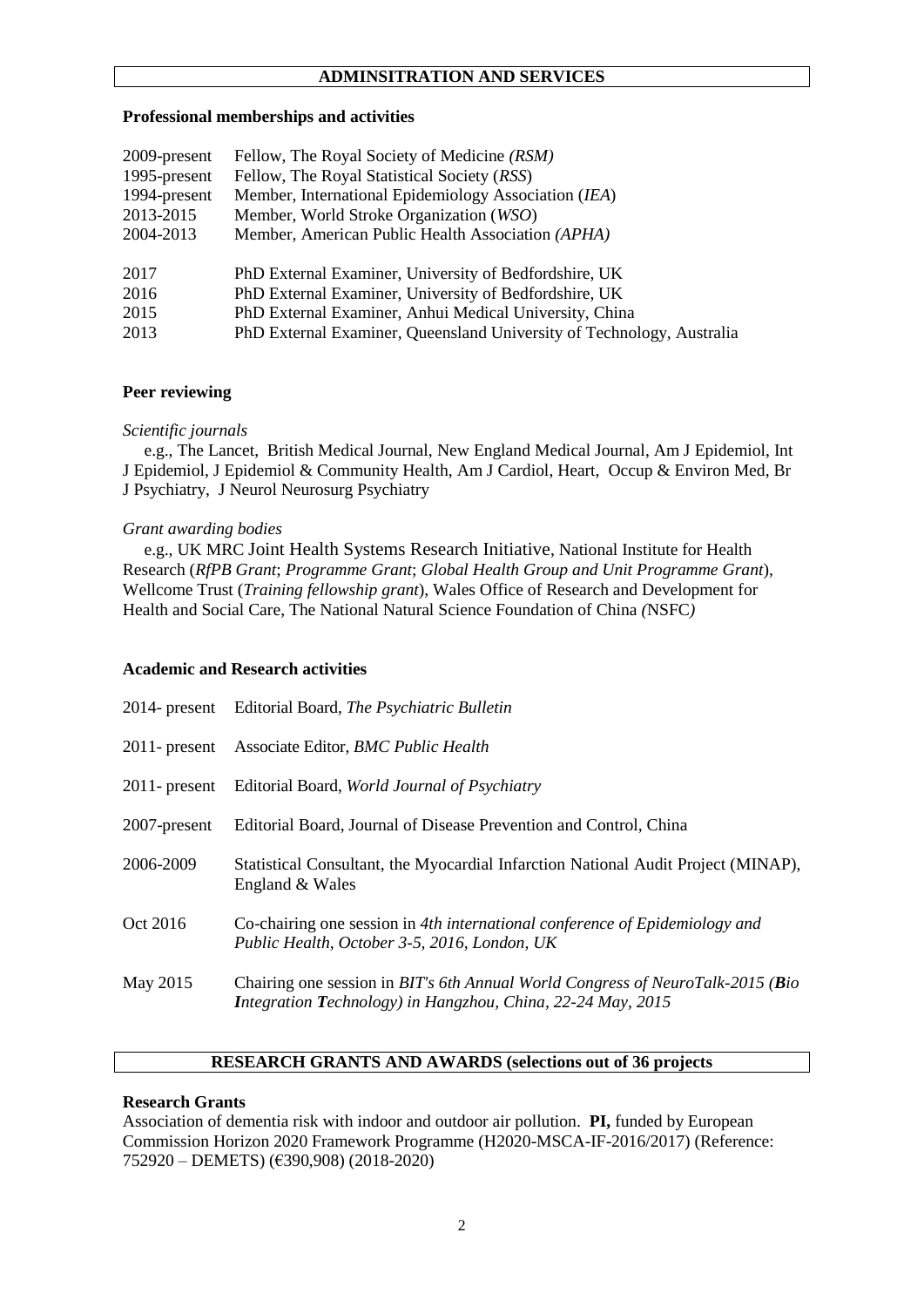### **ADMINSITRATION AND SERVICES**

#### **Professional memberships and activities**

| 2009-present | Fellow, The Royal Society of Medicine (RSM)                           |
|--------------|-----------------------------------------------------------------------|
| 1995-present | Fellow, The Royal Statistical Society (RSS)                           |
| 1994-present | Member, International Epidemiology Association (IEA)                  |
| 2013-2015    | Member, World Stroke Organization (WSO)                               |
| 2004-2013    | Member, American Public Health Association (APHA)                     |
|              |                                                                       |
| 2017         | PhD External Examiner, University of Bedfordshire, UK                 |
| 2016         | PhD External Examiner, University of Bedfordshire, UK                 |
| 2015         | PhD External Examiner, Anhui Medical University, China                |
| 2013         | PhD External Examiner, Queensland University of Technology, Australia |

#### **Peer reviewing**

#### *Scientific journals*

 e.g., The Lancet, British Medical Journal, New England Medical Journal, Am J Epidemiol, Int J Epidemiol, J Epidemiol & Community Health, Am J Cardiol, Heart, Occup & Environ Med, Br J Psychiatry, J Neurol Neurosurg Psychiatry

#### *Grant awarding bodies*

 e.g., UK MRC Joint Health Systems Research Initiative, National Institute for Health Research (*RfPB Grant*; *Programme Grant*; *Global Health Group and Unit Programme Grant*), Wellcome Trust (*Training fellowship grant*), Wales Office of Research and Development for Health and Social Care, The National Natural Science Foundation of China *(*NSFC*)*

#### **Academic and Research activities**

| $2014$ - present | Editorial Board, The Psychiatric Bulletin                                                                                                     |
|------------------|-----------------------------------------------------------------------------------------------------------------------------------------------|
| $2011$ - present | Associate Editor, BMC Public Health                                                                                                           |
| $2011$ - present | Editorial Board, World Journal of Psychiatry                                                                                                  |
| 2007-present     | Editorial Board, Journal of Disease Prevention and Control, China                                                                             |
| 2006-2009        | Statistical Consultant, the Myocardial Infarction National Audit Project (MINAP),<br>England & Wales                                          |
| Oct 2016         | Co-chairing one session in 4th international conference of Epidemiology and<br>Public Health, October 3-5, 2016, London, UK                   |
| May 2015         | Chairing one session in BIT's 6th Annual World Congress of NeuroTalk-2015 (Bio<br>Integration Technology) in Hangzhou, China, 22-24 May, 2015 |

#### **RESEARCH GRANTS AND AWARDS (selections out of 36 projects**

#### **Research Grants**

Association of dementia risk with indoor and outdoor air pollution. **PI,** funded by European Commission Horizon 2020 Framework Programme (H2020-MSCA-IF-2016/2017) (Reference: 752920 – DEMETS) (€390,908) (2018-2020)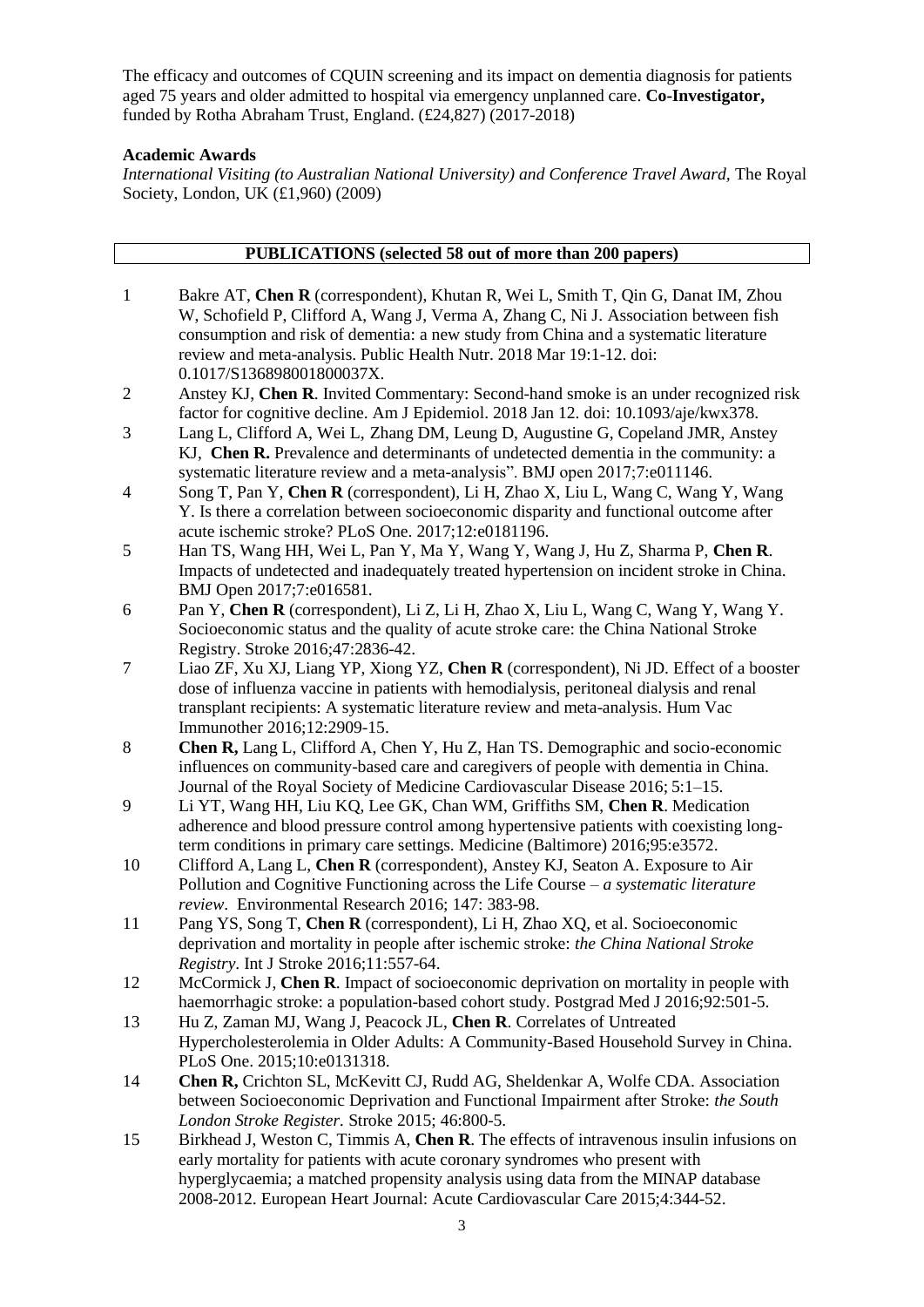The efficacy and outcomes of CQUIN screening and its impact on dementia diagnosis for patients aged 75 years and older admitted to hospital via emergency unplanned care. **Co-Investigator,**  funded by Rotha Abraham Trust, England. (£24,827) (2017-2018)

### **Academic Awards**

*International Visiting (to Australian National University) and Conference Travel Award,* The Royal Society, London, UK (£1,960) (2009)

|                | <b>PUBLICATIONS</b> (selected 58 out of more than 200 papers)                                                                                                                                                                                                     |
|----------------|-------------------------------------------------------------------------------------------------------------------------------------------------------------------------------------------------------------------------------------------------------------------|
|                |                                                                                                                                                                                                                                                                   |
| 1              | Bakre AT, Chen R (correspondent), Khutan R, Wei L, Smith T, Qin G, Danat IM, Zhou<br>W, Schofield P, Clifford A, Wang J, Verma A, Zhang C, Ni J. Association between fish<br>consumption and risk of dementia: a new study from China and a systematic literature |
|                | review and meta-analysis. Public Health Nutr. 2018 Mar 19:1-12. doi:                                                                                                                                                                                              |
|                | 0.1017/S136898001800037X.                                                                                                                                                                                                                                         |
| 2              | Anstey KJ, Chen R. Invited Commentary: Second-hand smoke is an under recognized risk<br>factor for cognitive decline. Am J Epidemiol. 2018 Jan 12. doi: 10.1093/aje/kwx378.                                                                                       |
| 3              | Lang L, Clifford A, Wei L, Zhang DM, Leung D, Augustine G, Copeland JMR, Anstey<br>KJ, Chen R. Prevalence and determinants of undetected dementia in the community: a<br>systematic literature review and a meta-analysis". BMJ open 2017;7:e011146.              |
| $\overline{4}$ | Song T, Pan Y, Chen R (correspondent), Li H, Zhao X, Liu L, Wang C, Wang Y, Wang<br>Y. Is there a correlation between socioeconomic disparity and functional outcome after                                                                                        |
|                | acute ischemic stroke? PLoS One. 2017;12:e0181196.                                                                                                                                                                                                                |
| 5              | Han TS, Wang HH, Wei L, Pan Y, Ma Y, Wang Y, Wang J, Hu Z, Sharma P, Chen R.<br>Impacts of undetected and inadequately treated hypertension on incident stroke in China.                                                                                          |
|                | BMJ Open 2017;7:e016581.                                                                                                                                                                                                                                          |
| 6              | Pan Y, Chen R (correspondent), Li Z, Li H, Zhao X, Liu L, Wang C, Wang Y, Wang Y.<br>Socioeconomic status and the quality of acute stroke care: the China National Stroke<br>Registry. Stroke 2016;47:2836-42.                                                    |
| 7              | Liao ZF, Xu XJ, Liang YP, Xiong YZ, Chen R (correspondent), Ni JD. Effect of a booster                                                                                                                                                                            |
|                | dose of influenza vaccine in patients with hemodialysis, peritoneal dialysis and renal                                                                                                                                                                            |
|                | transplant recipients: A systematic literature review and meta-analysis. Hum Vac                                                                                                                                                                                  |
|                | Immunother 2016;12:2909-15.                                                                                                                                                                                                                                       |
| 8              | <b>Chen R,</b> Lang L, Clifford A, Chen Y, Hu Z, Han TS. Demographic and socio-economic<br>influences on community-based care and caregivers of people with dementia in China.                                                                                    |
|                | Journal of the Royal Society of Medicine Cardiovascular Disease 2016; 5:1-15.                                                                                                                                                                                     |
| 9              | Li YT, Wang HH, Liu KQ, Lee GK, Chan WM, Griffiths SM, Chen R. Medication                                                                                                                                                                                         |
|                | adherence and blood pressure control among hypertensive patients with coexisting long-                                                                                                                                                                            |
|                | term conditions in primary care settings. Medicine (Baltimore) 2016;95:e3572.                                                                                                                                                                                     |
| 10             | Clifford A, Lang L, Chen R (correspondent), Anstey KJ, Seaton A. Exposure to Air                                                                                                                                                                                  |
|                | Pollution and Cognitive Functioning across the Life Course $-a$ systematic literature<br>review. Environmental Research 2016; 147: 383-98.                                                                                                                        |
| 11             | Pang YS, Song T, Chen R (correspondent), Li H, Zhao XQ, et al. Socioeconomic<br>deprivation and mortality in people after ischemic stroke: the China National Stroke<br>Registry. Int J Stroke 2016;11:557-64.                                                    |
| 12             | McCormick J, Chen R. Impact of socioeconomic deprivation on mortality in people with                                                                                                                                                                              |
| 13             | haemorrhagic stroke: a population-based cohort study. Postgrad Med J 2016;92:501-5.<br>Hu Z, Zaman MJ, Wang J, Peacock JL, Chen R. Correlates of Untreated                                                                                                        |
|                | Hypercholesterolemia in Older Adults: A Community-Based Household Survey in China.                                                                                                                                                                                |
|                | PLoS One. 2015;10:e0131318.                                                                                                                                                                                                                                       |
| 14             | Chen R, Crichton SL, McKevitt CJ, Rudd AG, Sheldenkar A, Wolfe CDA. Association                                                                                                                                                                                   |
|                | between Socioeconomic Deprivation and Functional Impairment after Stroke: the South<br>London Stroke Register. Stroke 2015; 46:800-5.                                                                                                                             |
| 15             | Birkhead J, Weston C, Timmis A, Chen R. The effects of intravenous insulin infusions on                                                                                                                                                                           |
|                | early mortality for patients with acute coronary syndromes who present with                                                                                                                                                                                       |
|                | hyperglycaemia; a matched propensity analysis using data from the MINAP database<br>2008-2012. European Heart Journal: Acute Cardiovascular Care 2015;4:344-52.                                                                                                   |
|                | 3                                                                                                                                                                                                                                                                 |
|                |                                                                                                                                                                                                                                                                   |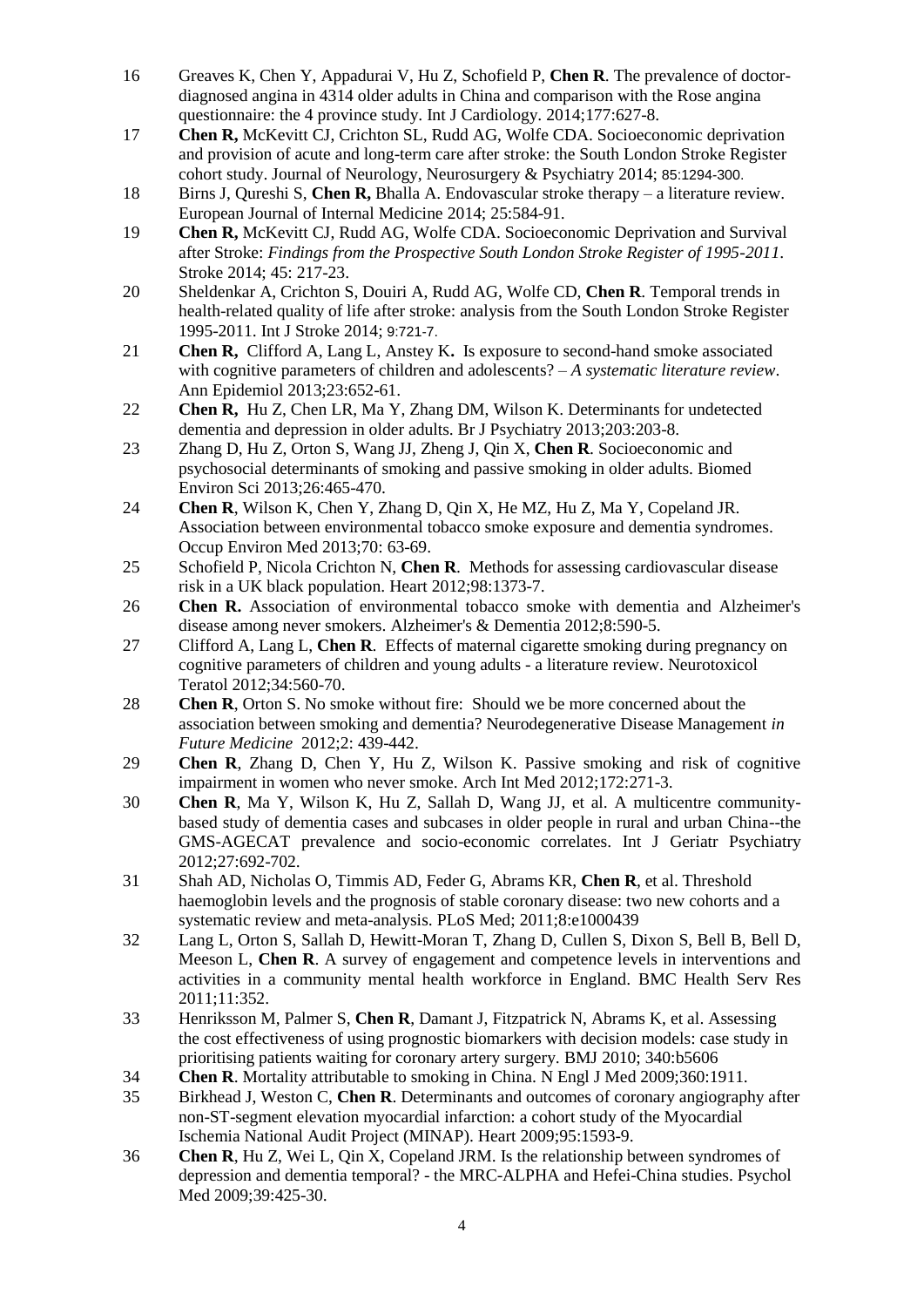- 16 Greaves K, Chen Y, Appadurai V, Hu Z, Schofield P, **Chen R**. The prevalence of doctordiagnosed angina in 4314 older adults in China and comparison with the Rose angina questionnaire: the 4 province study. Int J Cardiology. 2014;177:627-8.
- 17 **Chen R,** McKevitt CJ, Crichton SL, Rudd AG, Wolfe CDA. Socioeconomic deprivation and provision of acute and long-term care after stroke: the South London Stroke Register cohort study. Journal of Neurology, Neurosurgery & Psychiatry 2014; 85:1294-300.
- 18 Birns J, Qureshi S, **Chen R,** Bhalla A. Endovascular stroke therapy a literature review. European Journal of Internal Medicine 2014; 25:584-91.
- 19 **Chen R,** McKevitt CJ, Rudd AG, Wolfe CDA. Socioeconomic Deprivation and Survival after Stroke: *Findings from the Prospective South London Stroke Register of 1995-2011*. Stroke 2014; 45: 217-23.
- 20 Sheldenkar A, Crichton S, Douiri A, Rudd AG, Wolfe CD, **Chen R**. [Temporal trends](http://www.ncbi.nlm.nih.gov/pubmed/24593235) in [health-related quality of life after stroke: analysis from the South London Stroke Register](http://www.ncbi.nlm.nih.gov/pubmed/24593235)  [1995-2011.](http://www.ncbi.nlm.nih.gov/pubmed/24593235) Int J Stroke 2014; 9:721-7.
- 21 **Chen R,** Clifford A, Lang L, Anstey K**.** Is exposure to second-hand smoke associated with cognitive parameters of children and adolescents? – *A systematic literature review*. Ann Epidemiol 2013;23:652-61.
- 22 **Chen R,** Hu Z, Chen LR, Ma Y, Zhang DM, Wilson K. Determinants for undetected dementia and depression in older adults. Br J Psychiatry 2013;203:203-8.
- 23 Zhang D, Hu Z, Orton S, Wang JJ, Zheng J, Qin X, **Chen R**. Socioeconomic and psychosocial determinants of smoking and passive smoking in older adults. Biomed Environ Sci 2013;26:465-470.
- 24 **Chen R**, Wilson K, Chen Y, Zhang D, Qin X, He MZ, Hu Z, Ma Y, Copeland JR. Association between environmental tobacco smoke exposure and dementia syndromes. Occup Environ Med 2013;70: 63-69.
- 25 Schofield P, Nicola Crichton N, **Chen R**. Methods for assessing cardiovascular disease risk in a UK black population. Heart 2012;98:1373-7.
- 26 **Chen R.** Association of environmental tobacco smoke with dementia and Alzheimer's disease among never smokers. Alzheimer's & Dementia 2012;8:590-5.
- 27 Clifford A, Lang L, **Chen R**. Effects of maternal cigarette smoking during pregnancy on cognitive parameters of children and young adults - a literature review. Neurotoxicol Teratol 2012;34:560-70.
- 28 **Chen R**, Orton S. No smoke without fire: Should we be more concerned about the association between smoking and dementia? Neurodegenerative Disease Management *in Future Medicine* 2012;2: 439-442.
- 29 **Chen R**, Zhang D, Chen Y, Hu Z, Wilson K. Passive smoking and risk of cognitive impairment in women who never smoke. Arch Int Med 2012;172:271-3.
- 30 **Chen R**, Ma Y, Wilson K, Hu Z, Sallah D, Wang JJ, et al. A multicentre communitybased study of dementia cases and subcases in older people in rural and urban China--the GMS-AGECAT prevalence and socio-economic correlates. Int J Geriatr Psychiatry 2012;27:692-702.
- 31 Shah AD, Nicholas O, Timmis AD, Feder G, Abrams KR, **Chen R**, et al. [Threshold](http://www.ncbi.nlm.nih.gov/pubmed/21655315)  [haemoglobin levels and the prognosis of stable coronary disease: two new cohorts and a](http://www.ncbi.nlm.nih.gov/pubmed/21655315)  [systematic review and meta-analysis.](http://www.ncbi.nlm.nih.gov/pubmed/21655315) PLoS Med; 2011;8:e1000439
- 32 Lang L, Orton S, Sallah D, Hewitt-Moran T, Zhang D, Cullen S, Dixon S, Bell B, Bell D, Meeson L, **Chen R**. [A survey of engagement and competence levels in interventions and](http://www.ncbi.nlm.nih.gov/pubmed/22206471)  [activities in a community mental health workforce in England.](http://www.ncbi.nlm.nih.gov/pubmed/22206471) BMC Health Serv Res 2011;11:352.
- 33 Henriksson M, Palmer S, **Chen R**, Damant J, Fitzpatrick N, Abrams K, et al. Assessing the cost effectiveness of using prognostic biomarkers with decision models: case study in prioritising patients waiting for coronary artery surgery. BMJ 2010; 340:b5606
- 34 **Chen R**. Mortality attributable to smoking in China. N Engl J Med 2009;360:1911.
- 35 Birkhead J, Weston C, **Chen R**. Determinants and outcomes of coronary angiography after non-ST-segment elevation myocardial infarction: a cohort study of the Myocardial Ischemia National Audit Project (MINAP). Heart 2009;95:1593-9.
- 36 **Chen R**, Hu Z, Wei L, Qin X, Copeland JRM. Is the relationship between syndromes of depression and dementia temporal? - the MRC-ALPHA and Hefei-China studies. Psychol Med 2009;39:425-30.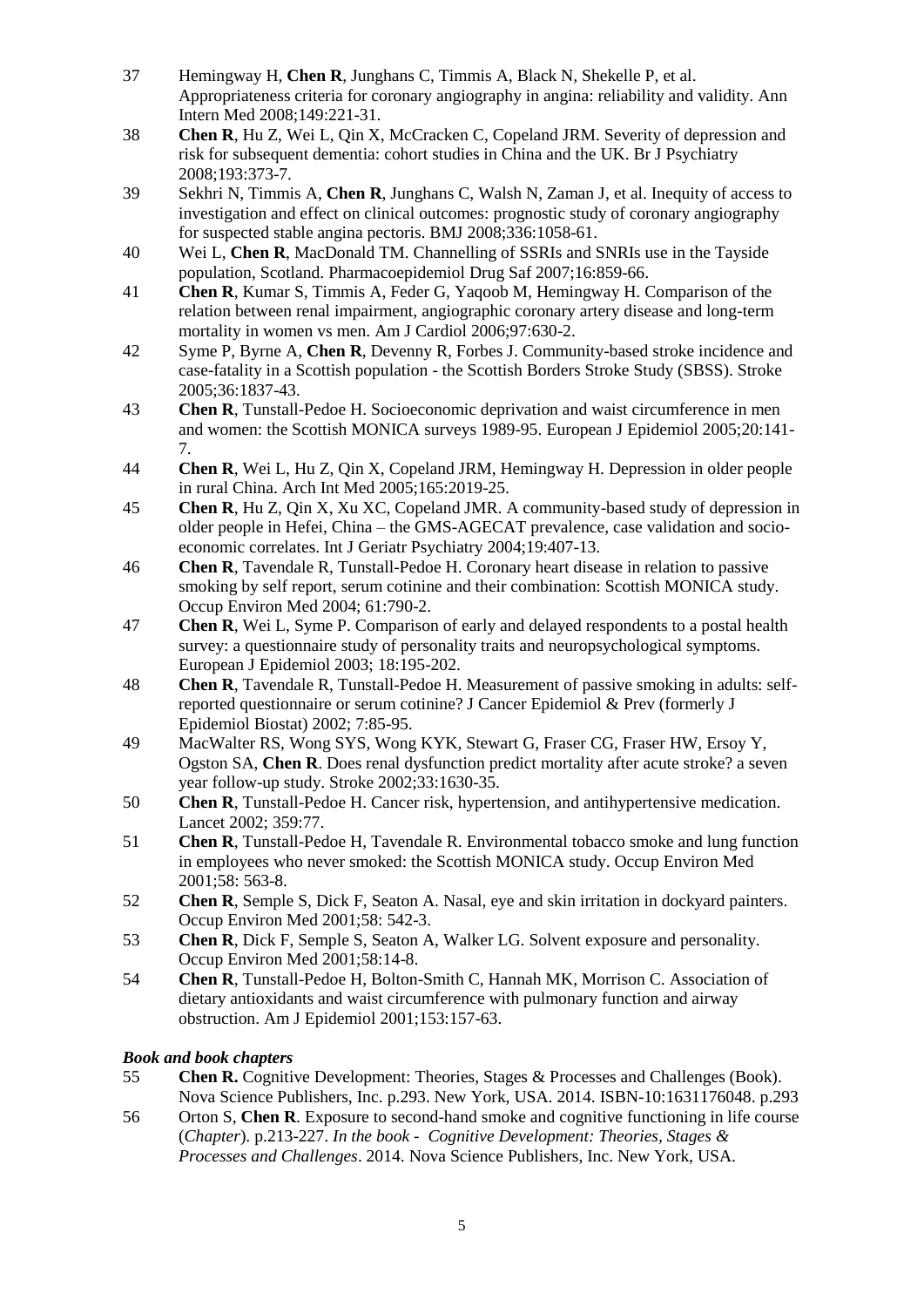- 37 Hemingway H, **Chen R**, Junghans C, Timmis A, Black N, Shekelle P, et al. Appropriateness criteria for coronary angiography in angina: reliability and validity. Ann Intern Med 2008;149:221-31.
- 38 **Chen R**, Hu Z, Wei L, Qin X, McCracken C, Copeland JRM. Severity of depression and risk for subsequent dementia: cohort studies in China and the UK. Br J Psychiatry 2008;193:373-7.
- 39 [Sekhri N,](http://www.ncbi.nlm.nih.gov/sites/entrez?Db=pubmed&Cmd=Search&Term=%22Sekhri%20N%22%5BAuthor%5D&itool=EntrezSystem2.PEntrez.Pubmed.Pubmed_ResultsPanel.Pubmed_DiscoveryPanel.Pubmed_RVAbstractPlus) [Timmis A,](http://www.ncbi.nlm.nih.gov/sites/entrez?Db=pubmed&Cmd=Search&Term=%22Timmis%20A%22%5BAuthor%5D&itool=EntrezSystem2.PEntrez.Pubmed.Pubmed_ResultsPanel.Pubmed_DiscoveryPanel.Pubmed_RVAbstractPlus) **Chen R**, [Junghans C,](http://www.ncbi.nlm.nih.gov/sites/entrez?Db=pubmed&Cmd=Search&Term=%22Junghans%20C%22%5BAuthor%5D&itool=EntrezSystem2.PEntrez.Pubmed.Pubmed_ResultsPanel.Pubmed_DiscoveryPanel.Pubmed_RVAbstractPlus) [Walsh N,](http://www.ncbi.nlm.nih.gov/sites/entrez?Db=pubmed&Cmd=Search&Term=%22Walsh%20N%22%5BAuthor%5D&itool=EntrezSystem2.PEntrez.Pubmed.Pubmed_ResultsPanel.Pubmed_DiscoveryPanel.Pubmed_RVAbstractPlus) [Zaman J,](http://www.ncbi.nlm.nih.gov/sites/entrez?Db=pubmed&Cmd=Search&Term=%22Zaman%20J%22%5BAuthor%5D&itool=EntrezSystem2.PEntrez.Pubmed.Pubmed_ResultsPanel.Pubmed_DiscoveryPanel.Pubmed_RVAbstractPlus) et al. Inequity of access to investigation and effect on clinical outcomes: prognostic study of coronary angiography for suspected stable angina pectoris. BMJ 2008;336:1058-61.
- 40 Wei L, **Chen R**, MacDonald TM. Channelling of SSRIs and SNRIs use in the Tayside population, Scotland. Pharmacoepidemiol Drug Saf 2007;16:859-66.
- 41 **Chen R**, Kumar S, Timmis A, Feder G, Yaqoob M, Hemingway H. Comparison of the relation between renal impairment, angiographic coronary artery disease and long-term mortality in women vs men. Am J Cardiol 2006;97:630-2.
- 42 Syme P, Byrne A, **Chen R**, Devenny R, Forbes J. Community-based stroke incidence and case-fatality in a Scottish population - the Scottish Borders Stroke Study (SBSS). Stroke 2005;36:1837-43.
- 43 **Chen R**, Tunstall-Pedoe H. Socioeconomic deprivation and waist circumference in men and women: the Scottish MONICA surveys 1989-95. European J Epidemiol 2005;20:141- 7.
- 44 **Chen R**, Wei L, Hu Z, Qin X, Copeland JRM, Hemingway H. Depression in older people in rural China. Arch Int Med 2005;165:2019-25.
- 45 **Chen R**, Hu Z, Qin X, Xu XC, Copeland JMR. A community-based study of depression in older people in Hefei, China – the GMS-AGECAT prevalence, case validation and socioeconomic correlates. Int J Geriatr Psychiatry 2004;19:407-13.
- 46 **Chen R**, Tavendale R, Tunstall-Pedoe H. Coronary heart disease in relation to passive smoking by self report, serum cotinine and their combination: Scottish MONICA study. Occup Environ Med 2004; 61:790-2.
- 47 **Chen R**, Wei L, Syme P. Comparison of early and delayed respondents to a postal health survey: a questionnaire study of personality traits and neuropsychological symptoms. European J Epidemiol 2003; 18:195-202.
- 48 **Chen R**, Tavendale R, Tunstall-Pedoe H. Measurement of passive smoking in adults: selfreported questionnaire or serum cotinine? J Cancer Epidemiol & Prev (formerly J Epidemiol Biostat) 2002; 7:85-95.
- 49 MacWalter RS, Wong SYS, Wong KYK, Stewart G, Fraser CG, Fraser HW, Ersoy Y, Ogston SA, **Chen R**. Does renal dysfunction predict mortality after acute stroke? a seven year follow-up study. Stroke 2002;33:1630-35.
- 50 **Chen R**, Tunstall-Pedoe H. Cancer risk, hypertension, and antihypertensive medication. Lancet 2002; 359:77.
- 51 **Chen R**, Tunstall-Pedoe H, Tavendale R. Environmental tobacco smoke and lung function in employees who never smoked: the Scottish MONICA study. Occup Environ Med 2001;58: 563-8.
- 52 **Chen R**, Semple S, Dick F, Seaton A. Nasal, eye and skin irritation in dockyard painters. Occup Environ Med 2001;58: 542-3.
- 53 **Chen R**, Dick F, Semple S, Seaton A, Walker LG. Solvent exposure and personality. Occup Environ Med 2001;58:14-8.
- 54 **Chen R**, Tunstall-Pedoe H, Bolton-Smith C, Hannah MK, Morrison C. Association of dietary antioxidants and waist circumference with pulmonary function and airway obstruction. Am J Epidemiol 2001;153:157-63.

### *Book and book chapters*

- 55 **Chen R.** Cognitive Development: Theories, Stages & Processes and Challenges (Book). Nova Science Publishers, Inc. p.293. New York, USA. 2014. ISBN-10:1631176048. p.293
- 56 Orton S, **Chen R**. Exposure to second-hand smoke and cognitive functioning in life course (*Chapter*). p.213-227. *In the book - Cognitive Development: Theories, Stages & Processes and Challenges*. 2014. Nova Science Publishers, Inc. New York, USA.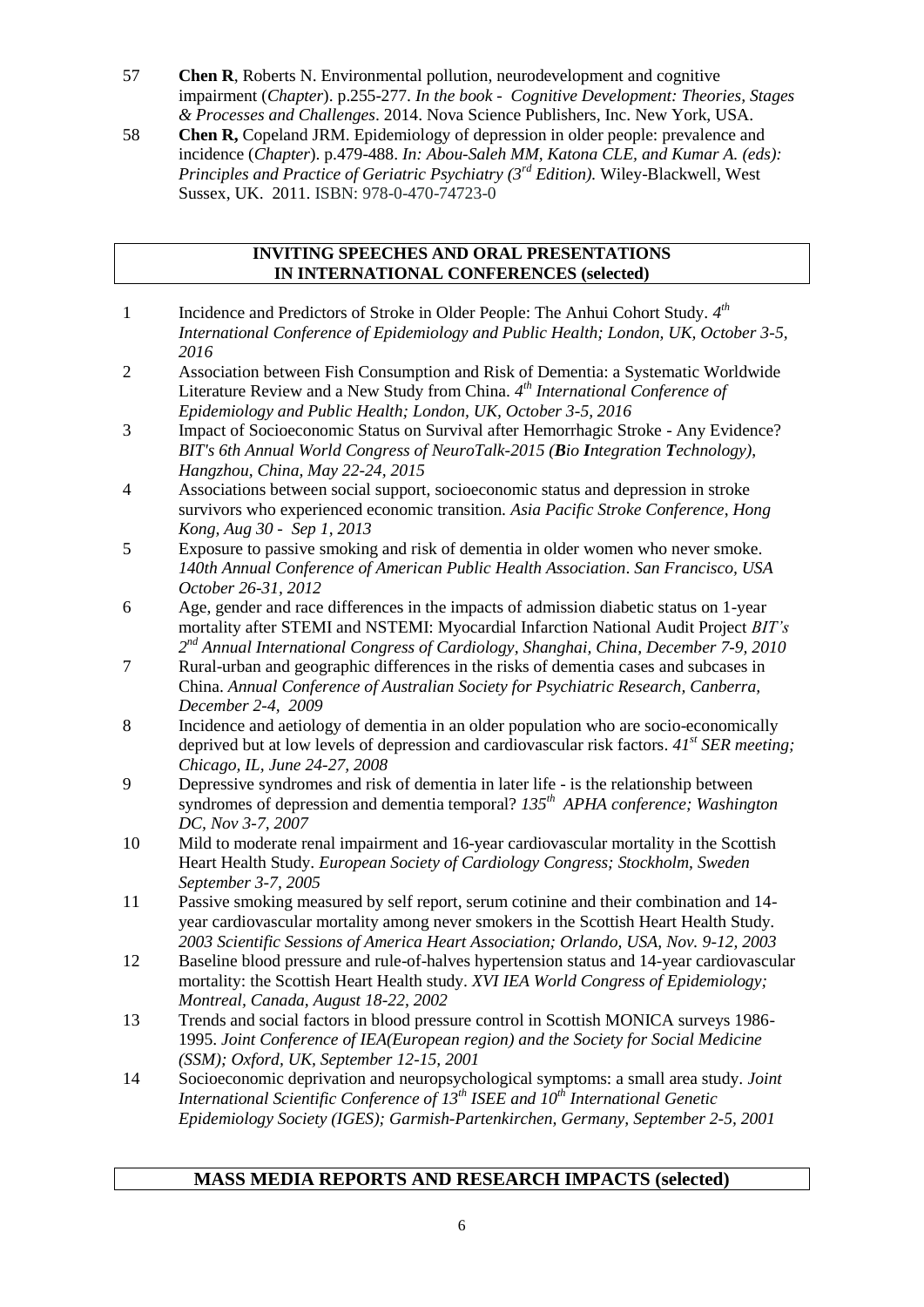- 57 **Chen R**, Roberts N. Environmental pollution, neurodevelopment and cognitive impairment (*Chapter*). p.255-277. *In the book - Cognitive Development: Theories, Stages & Processes and Challenges*. 2014. Nova Science Publishers, Inc. New York, USA.
- 58 **Chen R,** Copeland JRM. Epidemiology of depression in older people: prevalence and incidence (*Chapter*). p.479-488. *In: Abou-Saleh MM, [Katona](http://www.google.co.uk/search?tbo=p&tbm=bks&q=inauthor:%22Cornelius+L.+E.+Katona%22) CLE, and [Kumar](http://www.google.co.uk/search?tbo=p&tbm=bks&q=inauthor:%22Anand+Kumar%22) A. (eds): Principles and Practice of Geriatric Psychiatry (3rd Edition).* Wiley-Blackwell, West Sussex, UK. 2011. ISBN: 978-0-470-74723-0

#### **INVITING SPEECHES AND ORAL PRESENTATIONS IN INTERNATIONAL CONFERENCES (selected)**

- 1 Incidence and Predictors of Stroke in Older People: The Anhui Cohort Study.  $4<sup>th</sup>$ *International Conference of Epidemiology and Public Health; London, UK, October 3-5, 2016*
- 2 Association between Fish Consumption and Risk of Dementia: a Systematic Worldwide Literature Review and a New Study from China. *4 th International Conference of Epidemiology and Public Health; London, UK, October 3-5, 2016*
- 3 Impact of Socioeconomic Status on Survival after Hemorrhagic Stroke Any Evidence? *[BIT's 6th Annual World Congress of NeuroTalk-2015](http://www.bitcongress.com/neurotalk2015/) (Bio Integration Technology)*, *Hangzhou, China, May 22-24, 2015*
- 4 Associations between social support, socioeconomic status and depression in stroke survivors who experienced economic transition. *Asia Pacific Stroke Conference*, *Hong Kong, Aug 30 - Sep 1, 2013*
- 5 Exposure to passive smoking and risk of dementia in older women who never smoke. *140th Annual Conference of American Public Health Association*. *San Francisco, USA October 26-31, 2012*
- 6 Age, gender and race differences in the impacts of admission diabetic status on 1-year mortality after STEMI and NSTEMI: Myocardial Infarction National Audit Project *BIT's 2 nd Annual International Congress of Cardiology, Shanghai, China, December 7-9, 2010*
- 7 Rural-urban and geographic differences in the risks of dementia cases and subcases in China. *Annual Conference of Australian Society for Psychiatric Research, Canberra, December 2-4, 2009*
- 8 Incidence and aetiology of dementia in an older population who are socio-economically deprived but at low levels of depression and cardiovascular risk factors. *41st SER meeting; Chicago, IL, June 24-27, 2008*
- 9 Depressive syndromes and risk of dementia in later life is the relationship between syndromes of depression and dementia temporal? *135th APHA conference; Washington DC, Nov 3-7, 2007*
- 10 Mild to moderate renal impairment and 16-year cardiovascular mortality in the Scottish Heart Health Study. *European Society of Cardiology Congress; Stockholm, Sweden September 3-7, 2005*
- 11 Passive smoking measured by self report, serum cotinine and their combination and 14 year cardiovascular mortality among never smokers in the Scottish Heart Health Study. *2003 Scientific Sessions of America Heart Association; Orlando, USA, Nov. 9-12, 2003*
- 12 Baseline blood pressure and rule-of-halves hypertension status and 14-year cardiovascular mortality: the Scottish Heart Health study. *XVI IEA World Congress of Epidemiology; Montreal, Canada, August 18-22, 2002*
- 13 Trends and social factors in blood pressure control in Scottish MONICA surveys 1986- 1995. *Joint Conference of IEA(European region) and the Society for Social Medicine (SSM); Oxford, UK, September 12-15, 2001*
- 14 Socioeconomic deprivation and neuropsychological symptoms: a small area study. *Joint International Scientific Conference of 13th ISEE and 10th International Genetic Epidemiology Society (IGES); Garmish-Partenkirchen, Germany, September 2-5, 2001*

## **MASS MEDIA REPORTS AND RESEARCH IMPACTS (selected)**